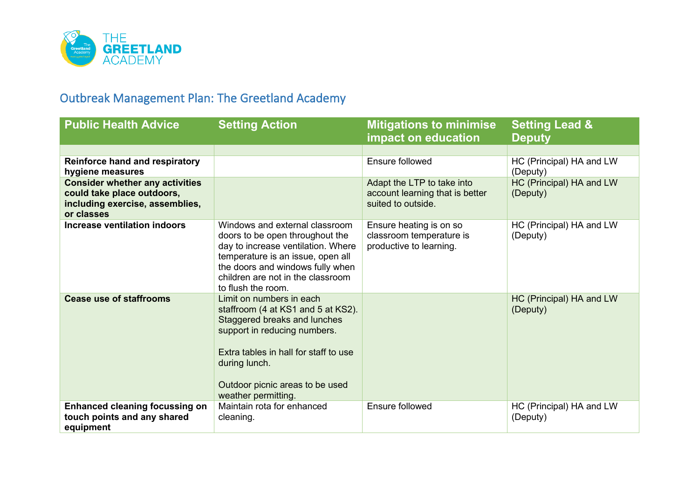

## Outbreak Management Plan: The Greetland Academy

| <b>Public Health Advice</b>                                                                                           | <b>Setting Action</b>                                                                                                                                                                                                                              | <b>Mitigations to minimise</b><br><b>impact on education</b>                        | <b>Setting Lead &amp;</b><br><b>Deputy</b> |
|-----------------------------------------------------------------------------------------------------------------------|----------------------------------------------------------------------------------------------------------------------------------------------------------------------------------------------------------------------------------------------------|-------------------------------------------------------------------------------------|--------------------------------------------|
|                                                                                                                       |                                                                                                                                                                                                                                                    |                                                                                     |                                            |
| <b>Reinforce hand and respiratory</b><br>hygiene measures                                                             |                                                                                                                                                                                                                                                    | Ensure followed                                                                     | HC (Principal) HA and LW<br>(Deputy)       |
| <b>Consider whether any activities</b><br>could take place outdoors,<br>including exercise, assemblies,<br>or classes |                                                                                                                                                                                                                                                    | Adapt the LTP to take into<br>account learning that is better<br>suited to outside. | HC (Principal) HA and LW<br>(Deputy)       |
| <b>Increase ventilation indoors</b>                                                                                   | Windows and external classroom<br>doors to be open throughout the<br>day to increase ventilation. Where<br>temperature is an issue, open all<br>the doors and windows fully when<br>children are not in the classroom<br>to flush the room.        | Ensure heating is on so<br>classroom temperature is<br>productive to learning.      | HC (Principal) HA and LW<br>(Deputy)       |
| <b>Cease use of staffrooms</b>                                                                                        | Limit on numbers in each<br>staffroom (4 at KS1 and 5 at KS2).<br>Staggered breaks and lunches<br>support in reducing numbers.<br>Extra tables in hall for staff to use<br>during lunch.<br>Outdoor picnic areas to be used<br>weather permitting. |                                                                                     | HC (Principal) HA and LW<br>(Deputy)       |
| <b>Enhanced cleaning focussing on</b><br>touch points and any shared<br>equipment                                     | Maintain rota for enhanced<br>cleaning.                                                                                                                                                                                                            | Ensure followed                                                                     | HC (Principal) HA and LW<br>(Deputy)       |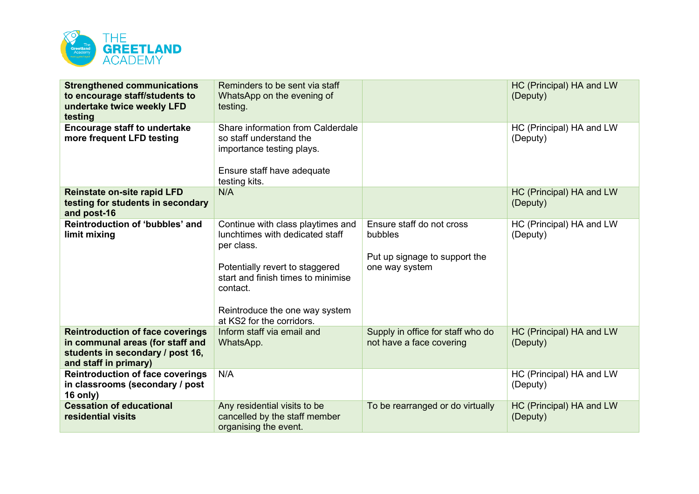

| <b>Strengthened communications</b><br>to encourage staff/students to<br>undertake twice weekly LFD<br>testing                            | Reminders to be sent via staff<br>WhatsApp on the evening of<br>testing.                                                                                                                                                               |                                                                                         | HC (Principal) HA and LW<br>(Deputy) |
|------------------------------------------------------------------------------------------------------------------------------------------|----------------------------------------------------------------------------------------------------------------------------------------------------------------------------------------------------------------------------------------|-----------------------------------------------------------------------------------------|--------------------------------------|
| <b>Encourage staff to undertake</b><br>more frequent LFD testing                                                                         | Share information from Calderdale<br>so staff understand the<br>importance testing plays.<br>Ensure staff have adequate<br>testing kits.                                                                                               |                                                                                         | HC (Principal) HA and LW<br>(Deputy) |
| <b>Reinstate on-site rapid LFD</b><br>testing for students in secondary<br>and post-16                                                   | N/A                                                                                                                                                                                                                                    |                                                                                         | HC (Principal) HA and LW<br>(Deputy) |
| Reintroduction of 'bubbles' and<br>limit mixing                                                                                          | Continue with class playtimes and<br>lunchtimes with dedicated staff<br>per class.<br>Potentially revert to staggered<br>start and finish times to minimise<br>contact.<br>Reintroduce the one way system<br>at KS2 for the corridors. | Ensure staff do not cross<br>bubbles<br>Put up signage to support the<br>one way system | HC (Principal) HA and LW<br>(Deputy) |
| <b>Reintroduction of face coverings</b><br>in communal areas (for staff and<br>students in secondary / post 16,<br>and staff in primary) | Inform staff via email and<br>WhatsApp.                                                                                                                                                                                                | Supply in office for staff who do<br>not have a face covering                           | HC (Principal) HA and LW<br>(Deputy) |
| <b>Reintroduction of face coverings</b><br>in classrooms (secondary / post<br>$16$ only)                                                 | N/A                                                                                                                                                                                                                                    |                                                                                         | HC (Principal) HA and LW<br>(Deputy) |
| <b>Cessation of educational</b><br>residential visits                                                                                    | Any residential visits to be<br>cancelled by the staff member<br>organising the event.                                                                                                                                                 | To be rearranged or do virtually                                                        | HC (Principal) HA and LW<br>(Deputy) |